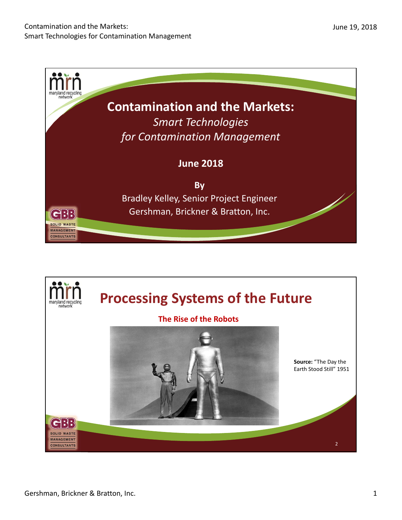

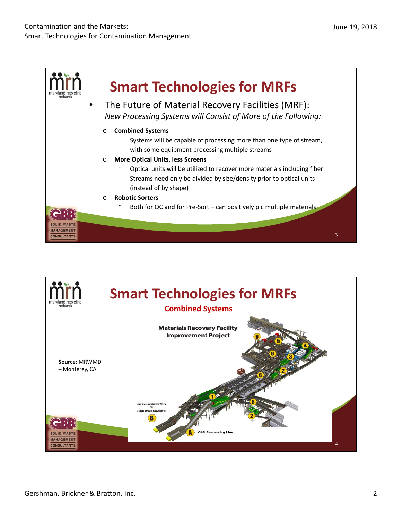

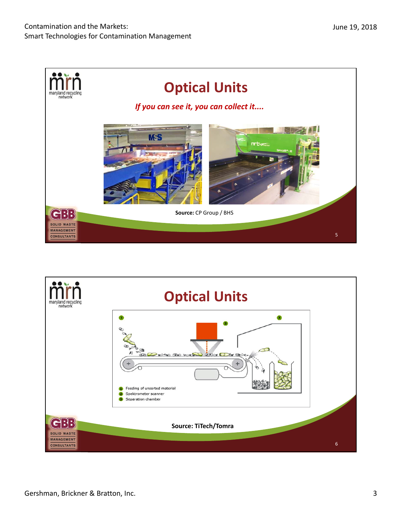

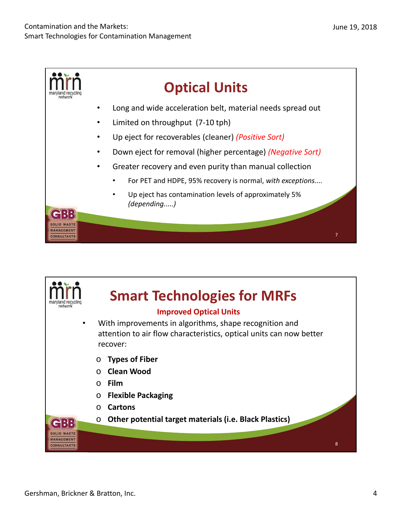

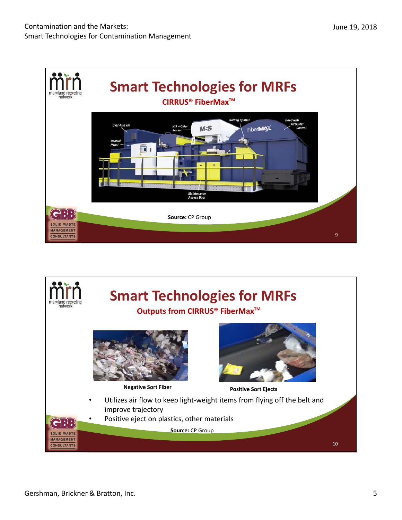

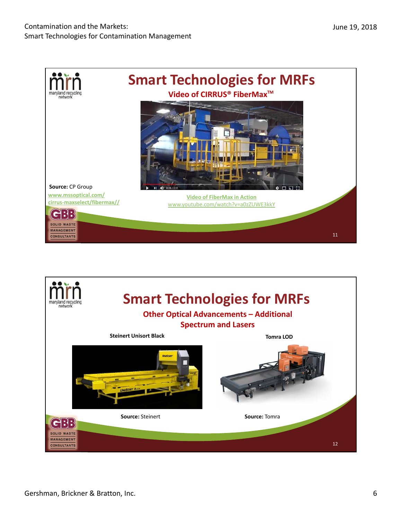

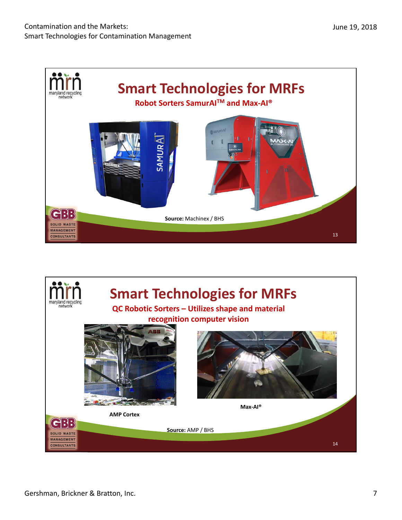

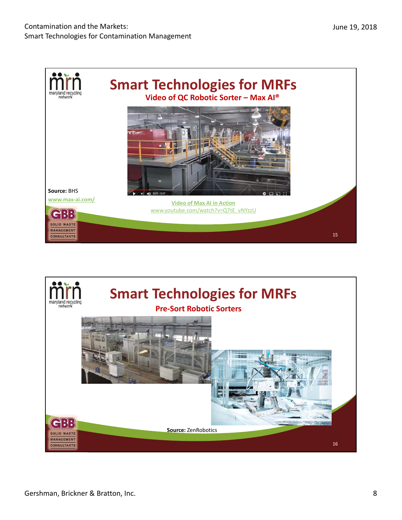

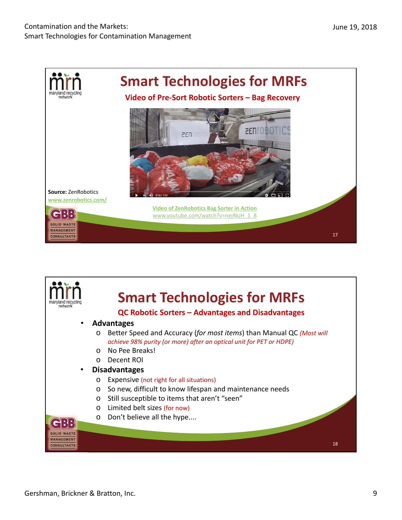